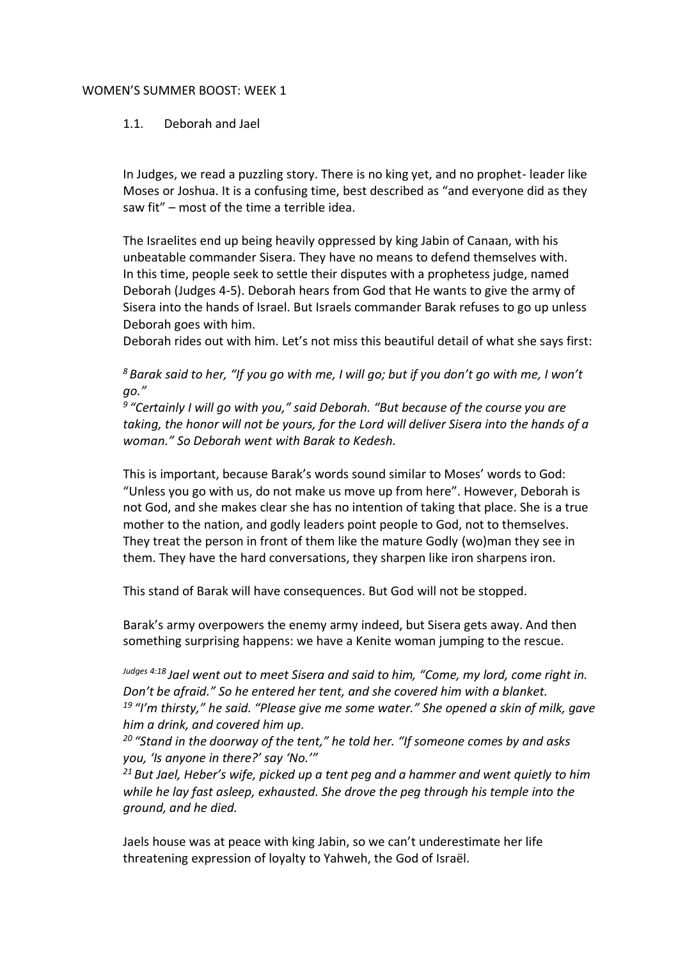## WOMEN'S SUMMER BOOST: WEEK 1

## 1.1. Deborah and Jael

In Judges, we read a puzzling story. There is no king yet, and no prophet- leader like Moses or Joshua. It is a confusing time, best described as "and everyone did as they saw fit" – most of the time a terrible idea.

The Israelites end up being heavily oppressed by king Jabin of Canaan, with his unbeatable commander Sisera. They have no means to defend themselves with. In this time, people seek to settle their disputes with a prophetess judge, named Deborah (Judges 4-5). Deborah hears from God that He wants to give the army of Sisera into the hands of Israel. But Israels commander Barak refuses to go up unless Deborah goes with him.

Deborah rides out with him. Let's not miss this beautiful detail of what she says first:

*<sup>8</sup> Barak said to her, "If you go with me, I will go; but if you don't go with me, I won't go."*

*9 "Certainly I will go with you," said Deborah. "But because of the course you are taking, the honor will not be yours, for the Lord will deliver Sisera into the hands of a woman." So Deborah went with Barak to Kedesh.*

This is important, because Barak's words sound similar to Moses' words to God: "Unless you go with us, do not make us move up from here". However, Deborah is not God, and she makes clear she has no intention of taking that place. She is a true mother to the nation, and godly leaders point people to God, not to themselves. They treat the person in front of them like the mature Godly (wo)man they see in them. They have the hard conversations, they sharpen like iron sharpens iron.

This stand of Barak will have consequences. But God will not be stopped.

Barak's army overpowers the enemy army indeed, but Sisera gets away. And then something surprising happens: we have a Kenite woman jumping to the rescue.

*Judges 4:18 Jael went out to meet Sisera and said to him, "Come, my lord, come right in. Don't be afraid." So he entered her tent, and she covered him with a blanket. <sup>19</sup> "I'm thirsty," he said. "Please give me some water." She opened a skin of milk, gave him a drink, and covered him up.*

*<sup>20</sup> "Stand in the doorway of the tent," he told her. "If someone comes by and asks you, 'Is anyone in there?' say 'No.'"*

*<sup>21</sup> But Jael, Heber's wife, picked up a tent peg and a hammer and went quietly to him while he lay fast asleep, exhausted. She drove the peg through his temple into the ground, and he died.*

Jaels house was at peace with king Jabin, so we can't underestimate her life threatening expression of loyalty to Yahweh, the God of Israël.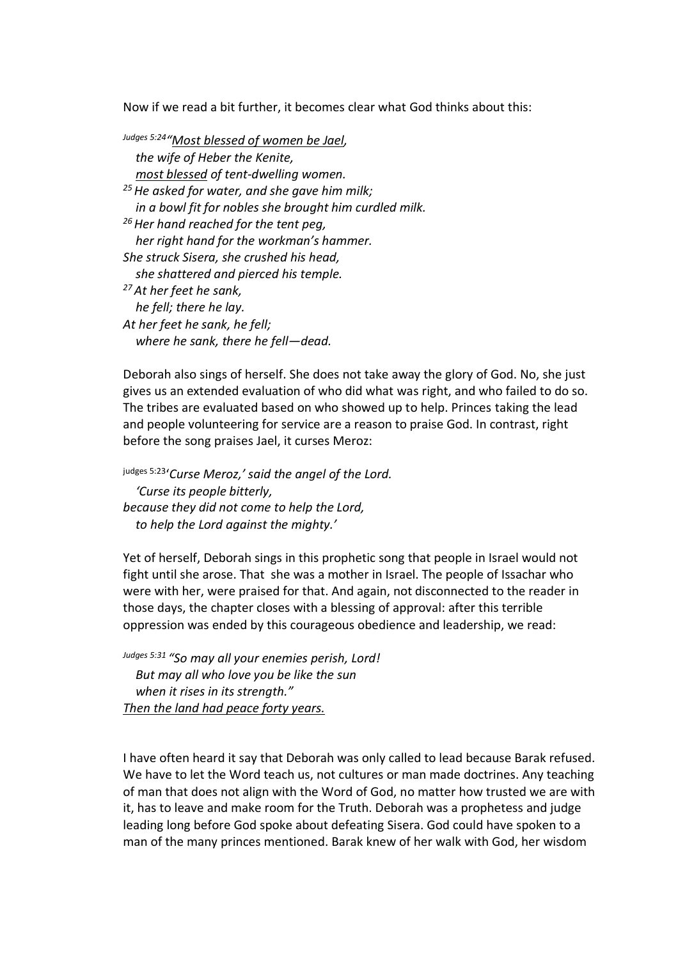Now if we read a bit further, it becomes clear what God thinks about this:

*Judges 5:24 "Most blessed of women be Jael, the wife of Heber the Kenite, most blessed of tent-dwelling women. <sup>25</sup>He asked for water, and she gave him milk; in a bowl fit for nobles she brought him curdled milk. <sup>26</sup>Her hand reached for the tent peg, her right hand for the workman's hammer. She struck Sisera, she crushed his head, she shattered and pierced his temple. <sup>27</sup>At her feet he sank, he fell; there he lay. At her feet he sank, he fell; where he sank, there he fell—dead.*

Deborah also sings of herself. She does not take away the glory of God. No, she just gives us an extended evaluation of who did what was right, and who failed to do so. The tribes are evaluated based on who showed up to help. Princes taking the lead and people volunteering for service are a reason to praise God. In contrast, right before the song praises Jael, it curses Meroz:

judges 5:23 '*Curse Meroz,' said the angel of the Lord. 'Curse its people bitterly, because they did not come to help the Lord, to help the Lord against the mighty.'*

Yet of herself, Deborah sings in this prophetic song that people in Israel would not fight until she arose. That she was a mother in Israel. The people of Issachar who were with her, were praised for that. And again, not disconnected to the reader in those days, the chapter closes with a blessing of approval: after this terrible oppression was ended by this courageous obedience and leadership, we read:

*Judges 5:31 "So may all your enemies perish, Lord! But may all who love you be like the sun when it rises in its strength." Then the land had peace forty years.*

I have often heard it say that Deborah was only called to lead because Barak refused. We have to let the Word teach us, not cultures or man made doctrines. Any teaching of man that does not align with the Word of God, no matter how trusted we are with it, has to leave and make room for the Truth. Deborah was a prophetess and judge leading long before God spoke about defeating Sisera. God could have spoken to a man of the many princes mentioned. Barak knew of her walk with God, her wisdom